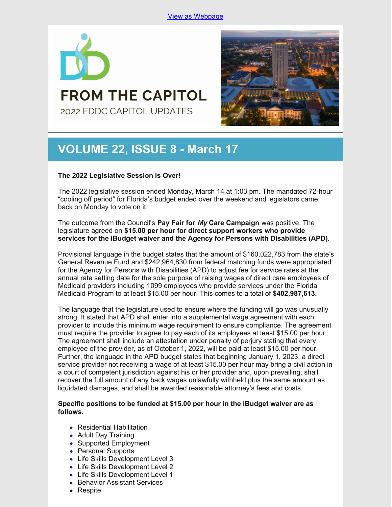

**FROM THE CAPITOL** 2022 FDDC CAPITOL UPDATES



# **VOLUME 22, ISSUE 8 - March 17**

## **The 2022 Legislative Session is Over!**

The 2022 legislative session ended Monday, March 14 at 1:03 pm. The mandated 72-hour "cooling off period" for Florida's budget ended over the weekend and legislators came back on Monday to vote on it.

The outcome from the Council's **Pay Fair for** *My* **Care Campaign** was positive. The legislature agreed on **\$15.00 per hour for direct support workers who provide services for the iBudget waiver and the Agency for Persons with Disabilities (APD).**

Provisional language in the budget states that the amount of \$160,022,783 from the state's General Revenue Fund and \$242,964,830 from federal matching funds were appropriated for the Agency for Persons with Disabilities (APD) to adjust fee for service rates at the annual rate setting date for the sole purpose of raising wages of direct care employees of Medicaid providers including 1099 employees who provide services under the Florida Medicaid Program to at least \$15.00 per hour. This comes to a total of **\$402,987,613.**

The language that the legislature used to ensure where the funding will go was unusually strong. It stated that APD shall enter into a supplemental wage agreement with each provider to include this minimum wage requirement to ensure compliance. The agreement must require the provider to agree to pay each of its employees at least \$15.00 per hour. The agreement shall include an attestation under penalty of perjury stating that every employee of the provider, as of October 1, 2022, will be paid at least \$15.00 per hour. Further, the language in the APD budget states that beginning January 1, 2023, a direct service provider not receiving a wage of at least \$15.00 per hour may bring a civil action in a court of competent jurisdiction against his or her provider and, upon prevailing, shall recover the full amount of any back wages unlawfully withheld plus the same amount as liquidated damages, and shall be awarded reasonable attorney's fees and costs.

## **Specific positions to be funded at \$15.00 per hour in the iBudget waiver are as follows.**

- Residential Habilitation
- Adult Day Training
- Supported Employment
- Personal Supports
- Life Skills Development Level 3
- Life Skills Development Level 2
- Life Skills Development Level 1
- Behavior Assistant Services
- Respite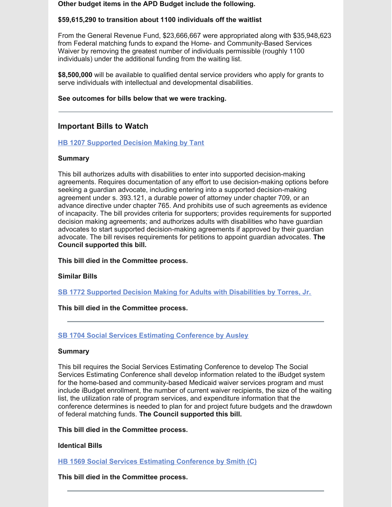#### **Other budget items in the APD Budget include the following.**

## **\$59,615,290 to transition about 1100 individuals off the waitlist**

From the General Revenue Fund, \$23,666,667 were appropriated along with \$35,948,623 from Federal matching funds to expand the Home- and Community-Based Services Waiver by removing the greatest number of individuals permissible (roughly 1100 individuals) under the additional funding from the waiting list.

**\$8,500,000** will be available to qualified dental service providers who apply for grants to serve individuals with intellectual and developmental disabilities.

## **See outcomes for bills below that we were tracking.**

# **Important Bills to Watch**

## **HB 1207 [Supported](https://www.myfloridahouse.gov/Sections/Bills/billsdetail.aspx?BillId=76061) Decision Making by Tant**

## **Summary**

This bill authorizes adults with disabilities to enter into supported decision-making agreements. Requires documentation of any effort to use decision-making options before seeking a guardian advocate, including entering into a supported decision-making agreement under s. 393.121, a durable power of attorney under chapter 709, or an advance directive under chapter 765. And prohibits use of such agreements as evidence of incapacity. The bill provides criteria for supporters; provides requirements for supported decision making agreements; and authorizes adults with disabilities who have guardian advocates to start supported decision-making agreements if approved by their guardian advocate. The bill revises requirements for petitions to appoint guardian advocates. **The Council supported this bill.**

**This bill died in the Committee process.**

## **Similar Bills**

**SB 1772 Supported Decision Making for Adults with [Disabilities](https://www.myfloridahouse.gov/Sections/Bills/billsdetail.aspx?BillId=76242&) by Torres, Jr.**

## **This bill died in the Committee process.**

## **SB 1704 Social Services Estimating [Conference](https://www.myfloridahouse.gov/Sections/Bills/billsdetail.aspx?BillId=76170) by Ausley**

## **Summary**

This bill requires the Social Services Estimating Conference to develop The Social Services Estimating Conference shall develop information related to the iBudget system for the home-based and community-based Medicaid waiver services program and must include iBudget enrollment, the number of current waiver recipients, the size of the waiting list, the utilization rate of program services, and expenditure information that the conference determines is needed to plan for and project future budgets and the drawdown of federal matching funds. **The Council supported this bill.**

## **This bill died in the Committee process.**

## **Identical Bills**

**HB 1569 Social Services Estimating [Conference](https://www.myfloridahouse.gov/Sections/Bills/billsdetail.aspx?BillId=76559&) by Smith (C)**

**This bill died in the Committee process.**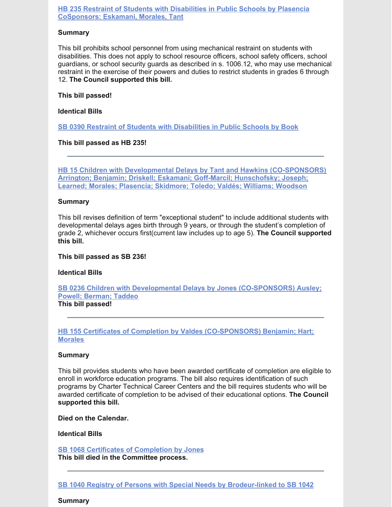#### **HB 235 Restraint of Students with Disabilities in Public Schools by Plasencia [CoSponsors:](https://www.myfloridahouse.gov/Sections/Bills/billsdetail.aspx?BillId=73355) Eskamani, Morales, Tant**

#### **Summary**

This bill prohibits school personnel from using mechanical restraint on students with disabilities. This does not apply to school resource officers, school safety officers, school guardians, or school security guards as described in s. 1006.12, who may use mechanical restraint in the exercise of their powers and duties to restrict students in grades 6 through 12. **The Council supported this bill.**

#### **This bill passed!**

### **Identical Bills**

**SB 0390 Restraint of Students with [Disabilities](https://www.myfloridahouse.gov/Sections/Bills/billsdetail.aspx?BillId=73330&) in Public Schools by Book**

**This bill passed as HB 235!**

**HB 15 Children with Developmental Delays by Tant and Hawkins [\(CO-SPONSORS\)](https://www.myfloridahouse.gov/Sections/Bills/billsdetail.aspx?BillId=73025) Arrington; Benjamin; Driskell; Eskamani; Goff-Marcil; Hunschofsky; Joseph; Learned; Morales; Plasencia; Skidmore; Toledo; Valdés; Williams; Woodson**

#### **Summary**

This bill revises definition of term "exceptional student" to include additional students with developmental delays ages birth through 9 years, or through the student's completion of grade 2, whichever occurs first(current law includes up to age 5). **The Council supported this bill.**

#### **This bill passed as SB 236!**

## **Identical Bills**

**SB 0236 Children with Developmental Delays by Jones [\(CO-SPONSORS\)](https://www.myfloridahouse.gov/Sections/Bills/billsdetail.aspx?BillId=73164&) Ausley; Powell; Berman; Taddeo This bill passed!**

## **HB 155 Certificates of Completion by Valdes [\(CO-SPONSORS\)](https://www.myfloridahouse.gov/Sections/Bills/billsdetail.aspx?BillId=73206) Benjamin; Hart; Morales**

#### **Summary**

This bill provides students who have been awarded certificate of completion are eligible to enroll in workforce education programs. The bill also requires identification of such programs by Charter Technical Career Centers and the bill requires students who will be awarded certificate of completion to be advised of their educational options. **The Council supported this bill.**

**Died on the Calendar.**

**Identical Bills**

**SB 1068 Certificates of [Completion](https://www.myfloridahouse.gov/Sections/Bills/billsdetail.aspx?BillId=75103&) by Jones This bill died in the Committee process.**

**Summary**

**SB 1040 Registry of Persons with Special Needs by [Brodeur-linked](https://www.myfloridahouse.gov/Sections/Bills/billsdetail.aspx?BillId=74991) to SB 1042**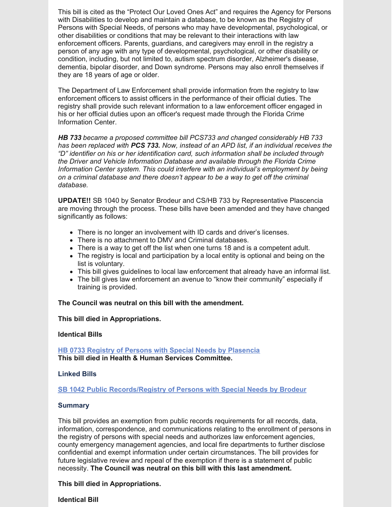This bill is cited as the "Protect Our Loved Ones Act" and requires the Agency for Persons with Disabilities to develop and maintain a database, to be known as the Registry of Persons with Special Needs, of persons who may have developmental, psychological, or other disabilities or conditions that may be relevant to their interactions with law enforcement officers. Parents, guardians, and caregivers may enroll in the registry a person of any age with any type of developmental, psychological, or other disability or condition, including, but not limited to, autism spectrum disorder, Alzheimer's disease, dementia, bipolar disorder, and Down syndrome. Persons may also enroll themselves if they are 18 years of age or older.

The Department of Law Enforcement shall provide information from the registry to law enforcement officers to assist officers in the performance of their official duties. The registry shall provide such relevant information to a law enforcement officer engaged in his or her official duties upon an officer's request made through the Florida Crime Information Center.

*HB 733 became a proposed committee bill PCS733 and changed considerably HB 733 has been replaced with PCS 733. Now, instead of an APD list, if an individual receives the "D" identifier on his or her identification card, such information shall be included through the Driver and Vehicle Information Database and available through the Florida Crime Information Center system. This could interfere with an individual's employment by being on a criminal database and there doesn't appear to be a way to get off the criminal database.*

**UPDATE!!** SB 1040 by Senator Brodeur and CS/HB 733 by Representative Plascencia are moving through the process. These bills have been amended and they have changed significantly as follows:

- There is no longer an involvement with ID cards and driver's licenses.
- There is no attachment to DMV and Criminal databases.
- There is a way to get off the list when one turns 18 and is a competent adult.
- The registry is local and participation by a local entity is optional and being on the list is voluntary.
- This bill gives guidelines to local law enforcement that already have an informal list.
- The bill gives law enforcement an avenue to "know their community" especially if training is provided.

**The Council was neutral on this bill with the amendment.**

**This bill died in Appropriations.**

#### **Identical Bills**

**HB 0733 Registry of Persons with Special Needs by [Plasencia](https://www.myfloridahouse.gov/Sections/Bills/billsdetail.aspx?BillId=75034&) This bill died in Health & Human Services Committee.**

#### **Linked Bills**

**SB 1042 Public [Records/Registry](https://www.myfloridahouse.gov/Sections/Bills/billsdetail.aspx?BillId=74990&) of Persons with Special Needs by Brodeur**

#### **Summary**

This bill provides an exemption from public records requirements for all records, data, information, correspondence, and communications relating to the enrollment of persons in the registry of persons with special needs and authorizes law enforcement agencies, county emergency management agencies, and local fire departments to further disclose confidential and exempt information under certain circumstances. The bill provides for future legislative review and repeal of the exemption if there is a statement of public necessity. **The Council was neutral on this bill with this last amendment.**

**This bill died in Appropriations.**

**Identical Bill**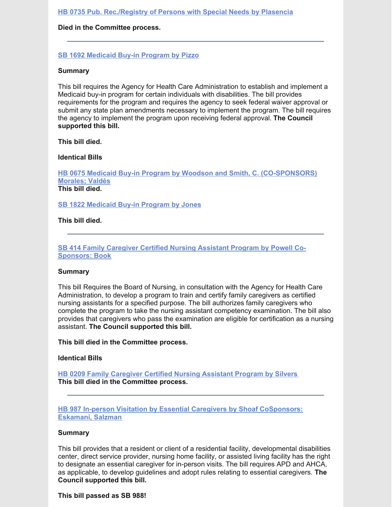**HB 0735 Pub. [Rec./Registry](https://www.myfloridahouse.gov/Sections/Bills/billsdetail.aspx?BillId=75035&) of Persons with Special Needs by Plasencia**

#### **Died in the Committee process.**

**SB 1692 [Medicaid](https://www.myfloridahouse.gov/Sections/Bills/billsdetail.aspx?BillId=76163) Buy-in Program by Pizzo**

#### **Summary**

This bill requires the Agency for Health Care Administration to establish and implement a Medicaid buy-in program for certain individuals with disabilities. The bill provides requirements for the program and requires the agency to seek federal waiver approval or submit any state plan amendments necessary to implement the program. The bill requires the agency to implement the program upon receiving federal approval. **The Council supported this bill.**

**This bill died.**

**Identical Bills**

**HB 0675 Medicaid Buy-in Program by Woodson and Smith, C. [\(CO-SPONSORS\)](https://www.myfloridahouse.gov/Sections/Bills/billsdetail.aspx?BillId=74798&) Morales; Valdés This bill died.**

**SB 1822 [Medicaid](https://www.myfloridahouse.gov/Sections/Bills/billsdetail.aspx?BillId=76281&) Buy-in Program by Jones**

**This bill died.**

**SB 414 Family [Caregiver](https://www.myfloridahouse.gov/Sections/Bills/billsdetail.aspx?BillId=73361&) Certified Nursing Assistant Program by Powell Co-Sponsors: Book**

#### **Summary**

This bill Requires the Board of Nursing, in consultation with the Agency for Health Care Administration, to develop a program to train and certify family caregivers as certified nursing assistants for a specified purpose. The bill authorizes family caregivers who complete the program to take the nursing assistant competency examination. The bill also provides that caregivers who pass the examination are eligible for certification as a nursing assistant. **The Council supported this bill.**

**This bill died in the Committee process.**

**Identical Bills**

**HB 0209 Family [Caregiver](https://www.myfloridahouse.gov/Sections/Bills/billsdetail.aspx?BillId=73306) Certified Nursing Assistant Program by Silvers This bill died in the Committee process.**

**HB 987 In-person Visitation by Essential Caregivers by Shoaf [CoSponsors:](https://www.myfloridahouse.gov/Sections/Bills/billsdetail.aspx?BillId=75784) Eskamani, Salzman**

#### **Summary**

This bill provides that a resident or client of a residential facility, developmental disabilities center, direct service provider, nursing home facility, or assisted living facility has the right to designate an essential caregiver for in-person visits. The bill requires APD and AHCA, as applicable, to develop guidelines and adopt rules relating to essential caregivers. **The Council supported this bill.**

**This bill passed as SB 988!**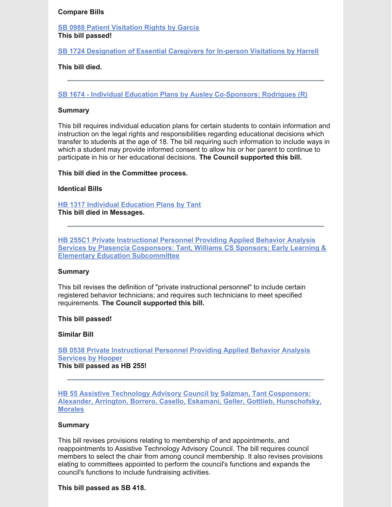#### **Compare Bills**

**SB 0988 Patient [Visitation](https://www.myfloridahouse.gov/Sections/Bills/billsdetail.aspx?BillId=74715&) Rights by Garcia This bill passed!**

**SB 1724 [Designation](https://www.myfloridahouse.gov/Sections/Bills/billsdetail.aspx?BillId=76190&) of Essential Caregivers for In-person Visitations by Harrell**

#### **This bill died.**

**SB 1674 - Individual Education Plans by Ausley [Co-Sponsors:](https://www.flsenate.gov/Session/Bill/2022/1674) Rodrigues (R)**

#### **Summary**

This bill requires individual education plans for certain students to contain information and instruction on the legal rights and responsibilities regarding educational decisions which transfer to students at the age of 18. The bill requiring such information to include ways in which a student may provide informed consent to allow his or her parent to continue to participate in his or her educational decisions. **The Council supported this bill.**

**This bill died in the Committee process.**

#### **Identical Bills**

**HB 1317 Individual [Education](https://www.flsenate.gov/Session/Bill/2022/1317) Plans by Tant**

**This bill died in Messages.**

**HB 255C1 Private Instructional Personnel Providing Applied Behavior Analysis Services by Plasencia Cosponsors: Tant, Williams CS Sponsors: Early Learning & Elementary Education [Subcommittee](https://www.myfloridahouse.gov/Sections/Bills/billsdetail.aspx?BillId=73389)**

#### **Summary**

This bill revises the definition of "private instructional personnel" to include certain registered behavior technicians; and requires such technicians to meet specified requirements. **The Council supported this bill.**

#### **This bill passed!**

#### **Similar Bill**

**SB 0538 Private [Instructional](https://www.myfloridahouse.gov/Sections/Bills/billsdetail.aspx?BillId=73551&) Personnel Providing Applied Behavior Analysis Services by Hooper This bill passed as HB 255!**

**HB 55 Assistive Technology Advisory Council by Salzman, Tant Cosponsors: Alexander, Arrington, Borrero, Casello, Eskamani, Geller, Gottlieb, [Hunschofsky,](https://www.myfloridahouse.gov/Sections/Bills/billsdetail.aspx?BillId=73074) Morales**

#### **Summary**

This bill revises provisions relating to membership of and appointments, and reappointments to Assistive Technology Advisory Council. The bill requires council members to select the chair from among council membership. It also revises provisions elating to committees appointed to perform the council's functions and expands the council's functions to include fundraising activities.

#### **This bill passed as SB 418.**